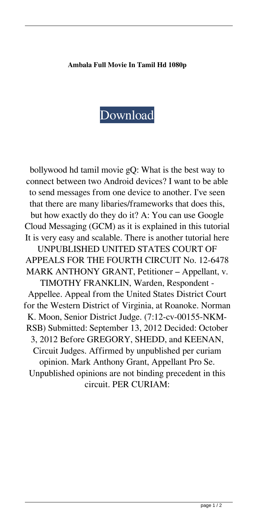## **Ambala Full Movie In Tamil Hd 1080p**

## [Download](http://evacdir.com/bullpens/population.YW1iYWxhIGZ1bGwgbW92aWUgaW4gdGFtaWwgaGQgMTA4MHAYW1/coutnry=dowline/organics.corns?ZG93bmxvYWR8STE0Y1drMmZId3hOalV5TnpRd09EWTJmSHd5TlRjMGZId29UU2tnY21WaFpDMWliRzluSUZ0R1lYTjBJRWRGVGww=streetsmartsmarketing)

bollywood hd tamil movie gQ: What is the best way to connect between two Android devices? I want to be able to send messages from one device to another. I've seen that there are many libaries/frameworks that does this, but how exactly do they do it? A: You can use Google Cloud Messaging (GCM) as it is explained in this tutorial It is very easy and scalable. There is another tutorial here UNPUBLISHED UNITED STATES COURT OF APPEALS FOR THE FOURTH CIRCUIT No. 12-6478 MARK ANTHONY GRANT, Petitioner – Appellant, v. TIMOTHY FRANKLIN, Warden, Respondent - Appellee. Appeal from the United States District Court for the Western District of Virginia, at Roanoke. Norman K. Moon, Senior District Judge. (7:12-cv-00155-NKM-RSB) Submitted: September 13, 2012 Decided: October 3, 2012 Before GREGORY, SHEDD, and KEENAN, Circuit Judges. Affirmed by unpublished per curiam opinion. Mark Anthony Grant, Appellant Pro Se. Unpublished opinions are not binding precedent in this circuit. PER CURIAM: